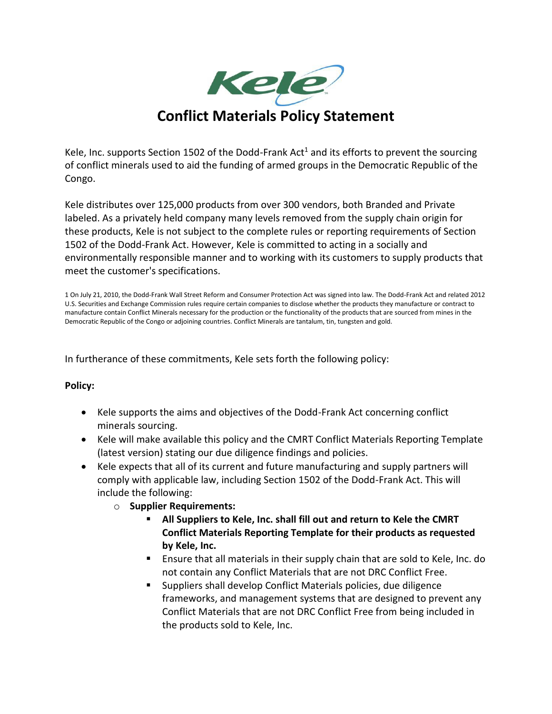

Kele, Inc. supports Section 1502 of the Dodd-Frank Act<sup>1</sup> and its efforts to prevent the sourcing of conflict minerals used to aid the funding of armed groups in the Democratic Republic of the Congo.

Kele distributes over 125,000 products from over 300 vendors, both Branded and Private labeled. As a privately held company many levels removed from the supply chain origin for these products, Kele is not subject to the complete rules or reporting requirements of Section 1502 of the Dodd-Frank Act. However, Kele is committed to acting in a socially and environmentally responsible manner and to working with its customers to supply products that meet the customer's specifications.

1 On July 21, 2010, the Dodd-Frank Wall Street Reform and Consumer Protection Act was signed into law. The Dodd-Frank Act and related 2012 U.S. Securities and Exchange Commission rules require certain companies to disclose whether the products they manufacture or contract to manufacture contain Conflict Minerals necessary for the production or the functionality of the products that are sourced from mines in the Democratic Republic of the Congo or adjoining countries. Conflict Minerals are tantalum, tin, tungsten and gold.

In furtherance of these commitments, Kele sets forth the following policy:

## **Policy:**

- Kele supports the aims and objectives of the Dodd-Frank Act concerning conflict minerals sourcing.
- Kele will make available this policy and the CMRT Conflict Materials Reporting Template (latest version) stating our due diligence findings and policies.
- Kele expects that all of its current and future manufacturing and supply partners will comply with applicable law, including Section 1502 of the Dodd-Frank Act. This will include the following:
	- o **Supplier Requirements:**
		- All Suppliers to Kele, Inc. shall fill out and return to Kele the CMRT **Conflict Materials Reporting Template for their products as requested by Kele, Inc.**
		- Ensure that all materials in their supply chain that are sold to Kele, Inc. do not contain any Conflict Materials that are not DRC Conflict Free.
		- Suppliers shall develop Conflict Materials policies, due diligence frameworks, and management systems that are designed to prevent any Conflict Materials that are not DRC Conflict Free from being included in the products sold to Kele, Inc.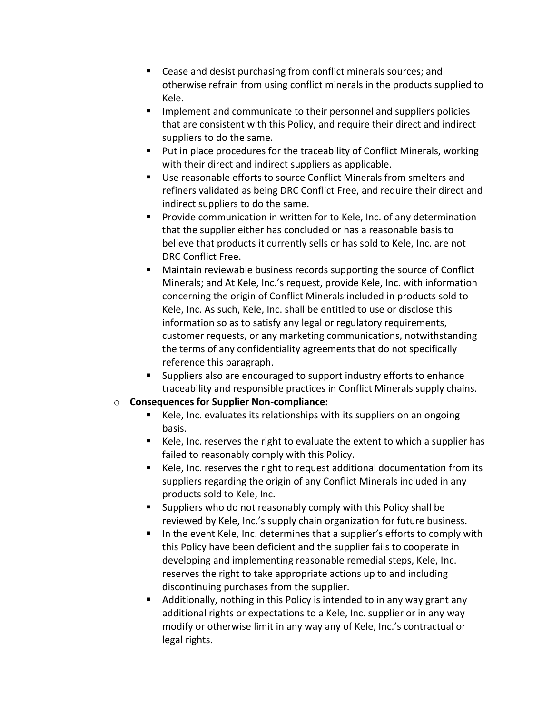- Cease and desist purchasing from conflict minerals sources; and otherwise refrain from using conflict minerals in the products supplied to Kele.
- **■** Implement and communicate to their personnel and suppliers policies that are consistent with this Policy, and require their direct and indirect suppliers to do the same.
- Put in place procedures for the traceability of Conflict Minerals, working with their direct and indirect suppliers as applicable.
- Use reasonable efforts to source Conflict Minerals from smelters and refiners validated as being DRC Conflict Free, and require their direct and indirect suppliers to do the same.
- Provide communication in written for to Kele, Inc. of any determination that the supplier either has concluded or has a reasonable basis to believe that products it currently sells or has sold to Kele, Inc. are not DRC Conflict Free.
- Maintain reviewable business records supporting the source of Conflict Minerals; and At Kele, Inc.'s request, provide Kele, Inc. with information concerning the origin of Conflict Minerals included in products sold to Kele, Inc. As such, Kele, Inc. shall be entitled to use or disclose this information so as to satisfy any legal or regulatory requirements, customer requests, or any marketing communications, notwithstanding the terms of any confidentiality agreements that do not specifically reference this paragraph.
- Suppliers also are encouraged to support industry efforts to enhance traceability and responsible practices in Conflict Minerals supply chains.

## o **Consequences for Supplier Non-compliance:**

- Kele, Inc. evaluates its relationships with its suppliers on an ongoing basis.
- Kele, Inc. reserves the right to evaluate the extent to which a supplier has failed to reasonably comply with this Policy.
- Kele, Inc. reserves the right to request additional documentation from its suppliers regarding the origin of any Conflict Minerals included in any products sold to Kele, Inc.
- Suppliers who do not reasonably comply with this Policy shall be reviewed by Kele, Inc.'s supply chain organization for future business.
- In the event Kele, Inc. determines that a supplier's efforts to comply with this Policy have been deficient and the supplier fails to cooperate in developing and implementing reasonable remedial steps, Kele, Inc. reserves the right to take appropriate actions up to and including discontinuing purchases from the supplier.
- Additionally, nothing in this Policy is intended to in any way grant any additional rights or expectations to a Kele, Inc. supplier or in any way modify or otherwise limit in any way any of Kele, Inc.'s contractual or legal rights.